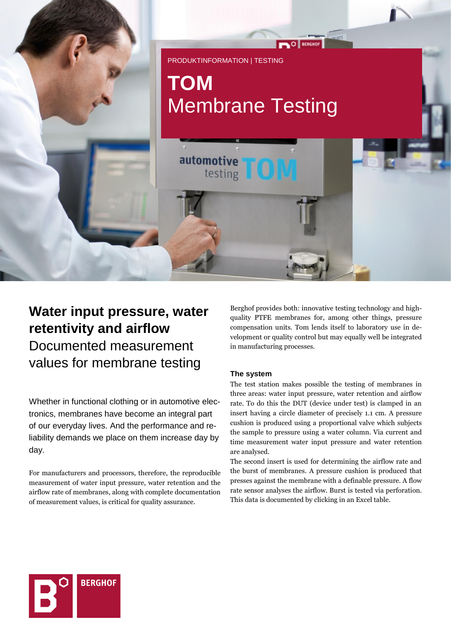

# **Water input pressure, water retentivity and airflow** Documented measurement values for membrane testing

Whether in functional clothing or in automotive electronics, membranes have become an integral part of our everyday lives. And the performance and reliability demands we place on them increase day by day.

For manufacturers and processors, therefore, the reproducible measurement of water input pressure, water retention and the airflow rate of membranes, along with complete documentation of measurement values, is critical for quality assurance.

Berghof provides both: innovative testing technology and highquality PTFE membranes for, among other things, pressure compensation units. Tom lends itself to laboratory use in development or quality control but may equally well be integrated in manufacturing processes.

## **The system**

The test station makes possible the testing of membranes in three areas: water input pressure, water retention and airflow rate. To do this the DUT (device under test) is clamped in an insert having a circle diameter of precisely 1.1 cm. A pressure cushion is produced using a proportional valve which subjects the sample to pressure using a water column. Via current and time measurement water input pressure and water retention are analysed.

The second insert is used for determining the airflow rate and the burst of membranes. A pressure cushion is produced that presses against the membrane with a definable pressure. A flow rate sensor analyses the airflow. Burst is tested via perforation. This data is documented by clicking in an Excel table.